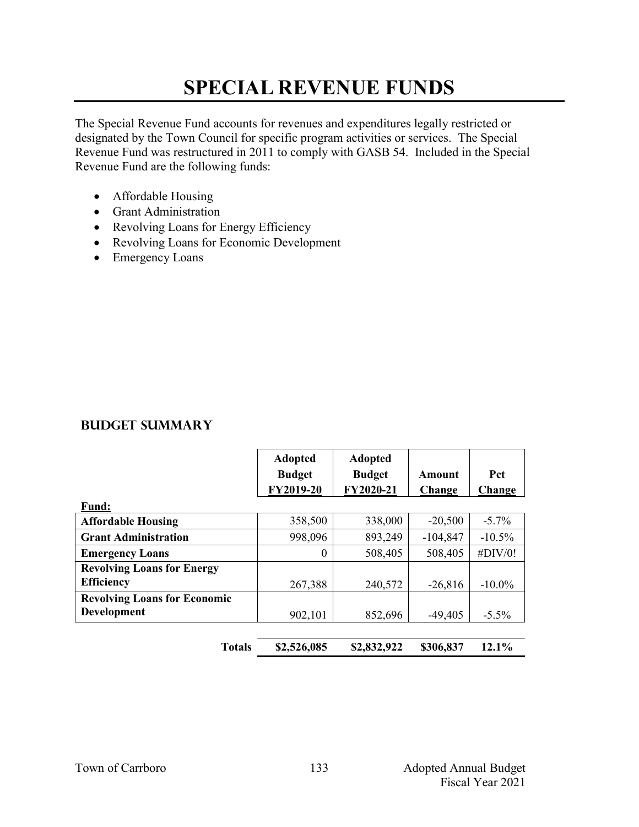## **SPECIAL REVENUE FUNDS**

The Special Revenue Fund accounts for revenues and expenditures legally restricted or designated by the Town Council for specific program activities or services. The Special Revenue Fund was restructured in 2011 to comply with GASB 54. Included in the Special Revenue Fund are the following funds:

- Affordable Housing
- Grant Administration
- Revolving Loans for Energy Efficiency
- Revolving Loans for Economic Development
- Emergency Loans

#### **Budget Summary**

|                                     | <b>Adopted</b><br><b>Budget</b><br>FY2019-20 | <b>Adopted</b><br><b>Budget</b><br>FY2020-21 | Amount<br>Change | <b>Pct</b><br>Change |
|-------------------------------------|----------------------------------------------|----------------------------------------------|------------------|----------------------|
| <b>Fund:</b>                        |                                              |                                              |                  |                      |
| <b>Affordable Housing</b>           | 358,500                                      | 338,000                                      | $-20,500$        | $-5.7\%$             |
| <b>Grant Administration</b>         | 998,096                                      | 893,249                                      | $-104,847$       | $-10.5\%$            |
| <b>Emergency Loans</b>              | 0                                            | 508,405                                      | 508,405          | #DIV/0!              |
| <b>Revolving Loans for Energy</b>   |                                              |                                              |                  |                      |
| <b>Efficiency</b>                   | 267,388                                      | 240,572                                      | $-26,816$        | $-10.0\%$            |
| <b>Revolving Loans for Economic</b> |                                              |                                              |                  |                      |
| <b>Development</b>                  | 902,101                                      | 852,696                                      | $-49,405$        | $-5.5\%$             |
|                                     |                                              |                                              |                  |                      |

**Totals \$2,526,085 \$2,832,922 \$306,837 12.1%**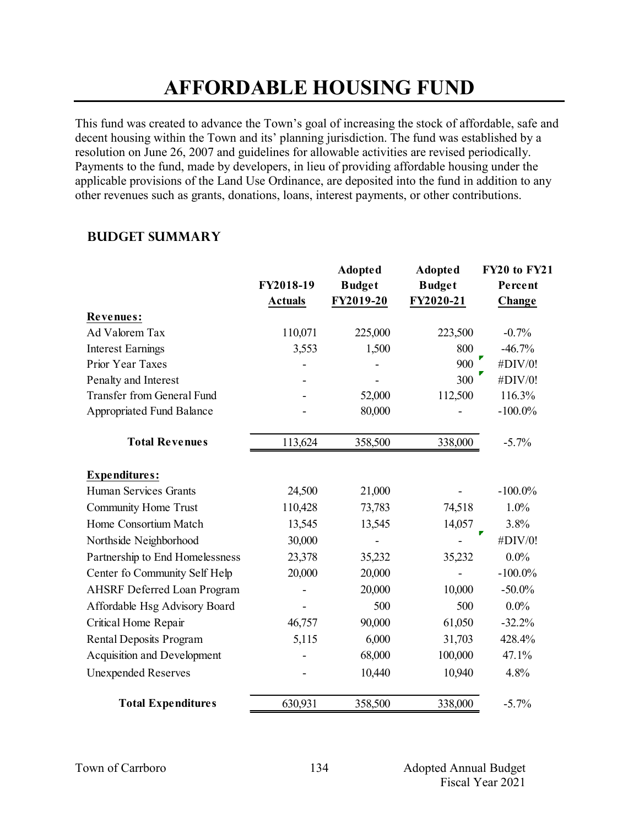## **AFFORDABLE HOUSING FUND**

This fund was created to advance the Town's goal of increasing the stock of affordable, safe and decent housing within the Town and its' planning jurisdiction. The fund was established by a resolution on June 26, 2007 and guidelines for allowable activities are revised periodically. Payments to the fund, made by developers, in lieu of providing affordable housing under the applicable provisions of the Land Use Ordinance, are deposited into the fund in addition to any other revenues such as grants, donations, loans, interest payments, or other contributions.

### **Budget Summary**

|                                    | FY2018-19<br><b>Actuals</b> | <b>Adopted</b><br><b>Budget</b><br>FY2019-20 | <b>Adopted</b><br><b>Budget</b><br>FY2020-21 | FY20 to FY21<br>Percent<br>Change |
|------------------------------------|-----------------------------|----------------------------------------------|----------------------------------------------|-----------------------------------|
| Revenues:                          |                             |                                              |                                              |                                   |
| Ad Valorem Tax                     | 110,071                     | 225,000                                      | 223,500                                      | $-0.7%$                           |
| <b>Interest Earnings</b>           | 3,553                       | 1,500                                        | 800                                          | $-46.7%$                          |
| Prior Year Taxes                   |                             |                                              | 900                                          | #DIV/0!                           |
| Penalty and Interest               |                             |                                              | 300                                          | #DIV/0!                           |
| <b>Transfer from General Fund</b>  |                             | 52,000                                       | 112,500                                      | 116.3%                            |
| <b>Appropriated Fund Balance</b>   |                             | 80,000                                       |                                              | $-100.0\%$                        |
| <b>Total Revenues</b>              | 113,624                     | 358,500                                      | 338,000                                      | $-5.7%$                           |
| <b>Expenditures:</b>               |                             |                                              |                                              |                                   |
| Human Services Grants              | 24,500                      | 21,000                                       |                                              | $-100.0\%$                        |
| <b>Community Home Trust</b>        | 110,428                     | 73,783                                       | 74,518                                       | 1.0%                              |
| Home Consortium Match              | 13,545                      | 13,545                                       | 14,057                                       | 3.8%                              |
| Northside Neighborhood             | 30,000                      |                                              |                                              | #DIV/0!                           |
| Partnership to End Homelessness    | 23,378                      | 35,232                                       | 35,232                                       | $0.0\%$                           |
| Center fo Community Self Help      | 20,000                      | 20,000                                       |                                              | $-100.0\%$                        |
| <b>AHSRF Deferred Loan Program</b> |                             | 20,000                                       | 10,000                                       | $-50.0\%$                         |
| Affordable Hsg Advisory Board      |                             | 500                                          | 500                                          | $0.0\%$                           |
| Critical Home Repair               | 46,757                      | 90,000                                       | 61,050                                       | $-32.2%$                          |
| Rental Deposits Program            | 5,115                       | 6,000                                        | 31,703                                       | 428.4%                            |
| Acquisition and Development        |                             | 68,000                                       | 100,000                                      | 47.1%                             |
| <b>Unexpended Reserves</b>         |                             | 10,440                                       | 10,940                                       | 4.8%                              |
| <b>Total Expenditures</b>          | 630,931                     | 358,500                                      | 338,000                                      | $-5.7%$                           |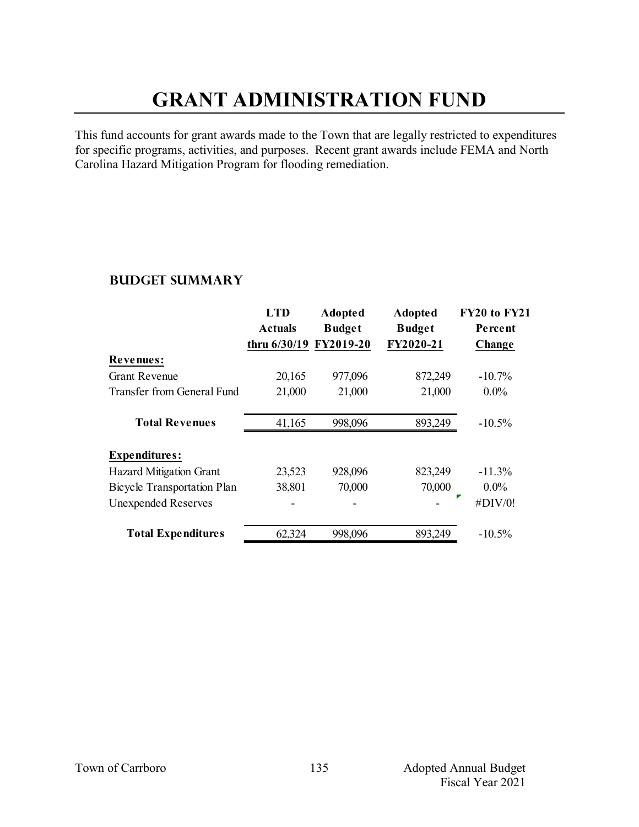# **GRANT ADMINISTRATION FUND**

This fund accounts for grant awards made to the Town that are legally restricted to expenditures for specific programs, activities, and purposes. Recent grant awards include FEMA and North Carolina Hazard Mitigation Program for flooding remediation.

### **Budget Summary**

|                                    | <b>LTD</b>             | <b>Adopted</b> | <b>Adopted</b> | FY20 to FY21 |
|------------------------------------|------------------------|----------------|----------------|--------------|
|                                    | <b>Actuals</b>         | <b>Budget</b>  | <b>Budget</b>  | Percent      |
|                                    | thru 6/30/19 FY2019-20 |                | FY2020-21      | Change       |
| <b>Revenues:</b>                   |                        |                |                |              |
| <b>Grant Revenue</b>               | 20,165                 | 977,096        | 872,249        | $-10.7\%$    |
| Transfer from General Fund         | 21,000                 | 21,000         | 21,000         | $0.0\%$      |
| <b>Total Revenues</b>              | 41,165                 | 998,096        | 893,249        | $-10.5%$     |
| <b>Expenditures:</b>               |                        |                |                |              |
| <b>Hazard Mitigation Grant</b>     | 23,523                 | 928,096        | 823,249        | $-11.3%$     |
| <b>Bicycle Transportation Plan</b> | 38,801                 | 70,000         | 70,000         | $0.0\%$      |
| <b>Unexpended Reserves</b>         |                        |                |                | #DIV/0!      |
| <b>Total Expenditures</b>          | 62,324                 | 998,096        | 893,249        | $-10.5%$     |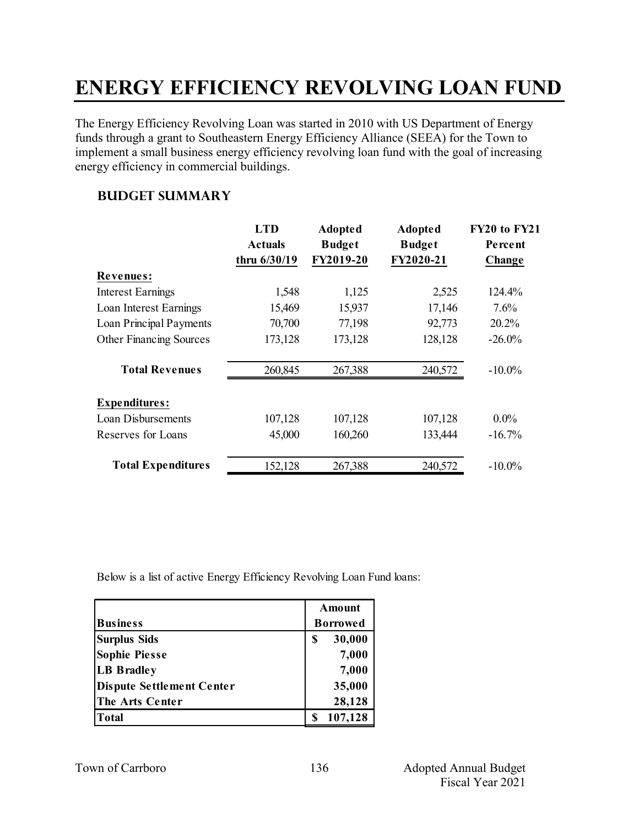# **ENERGY EFFICIENCY REVOLVING LOAN FUND**

The Energy Efficiency Revolving Loan was started in 2010 with US Department of Energy funds through a grant to Southeastern Energy Efficiency Alliance (SEEA) for the Town to implement a small business energy efficiency revolving loan fund with the goal of increasing energy efficiency in commercial buildings.

### **Budget Summary**

|                                | <b>LTD</b>     | <b>Adopted</b> | <b>Adopted</b> | FY20 to FY21 |
|--------------------------------|----------------|----------------|----------------|--------------|
|                                | <b>Actuals</b> | <b>Budget</b>  | <b>Budget</b>  | Percent      |
|                                | thru 6/30/19   | FY2019-20      | FY2020-21      | Change       |
| <b>Revenues:</b>               |                |                |                |              |
| <b>Interest Earnings</b>       | 1,548          | 1,125          | 2,525          | 124.4%       |
| Loan Interest Earnings         | 15,469         | 15,937         | 17,146         | $7.6\%$      |
| Loan Principal Payments        | 70,700         | 77,198         | 92,773         | 20.2%        |
| <b>Other Financing Sources</b> | 173,128        | 173,128        | 128,128        | $-26.0\%$    |
| <b>Total Revenues</b>          | 260,845        | 267,388        | 240,572        | $-10.0\%$    |
| <b>Expenditures:</b>           |                |                |                |              |
| Loan Disbursements             | 107,128        | 107,128        | 107,128        | $0.0\%$      |
| Reserves for Loans             | 45,000         | 160,260        | 133,444        | $-16.7%$     |
| <b>Total Expenditures</b>      | 152,128        | 267,388        | 240,572        | $-10.0\%$    |

Below is a list of active Energy Efficiency Revolving Loan Fund loans:

|                           | Amount          |
|---------------------------|-----------------|
| <b>Business</b>           | <b>Borrowed</b> |
| <b>Surplus Sids</b>       | 30,000<br>\$    |
| <b>Sophie Piesse</b>      | 7,000           |
| <b>LB Bradley</b>         | 7,000           |
| Dispute Settlement Center | 35,000          |
| The Arts Center           | 28,128          |
| Total                     | 107,128         |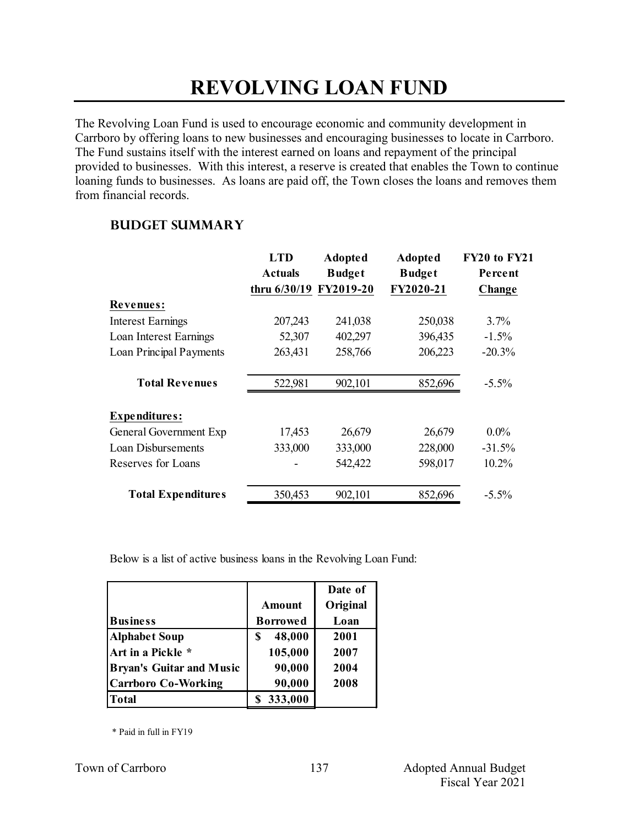# **REVOLVING LOAN FUND**

The Revolving Loan Fund is used to encourage economic and community development in Carrboro by offering loans to new businesses and encouraging businesses to locate in Carrboro. The Fund sustains itself with the interest earned on loans and repayment of the principal provided to businesses. With this interest, a reserve is created that enables the Town to continue loaning funds to businesses. As loans are paid off, the Town closes the loans and removes them from financial records.

### **Budget Summary**

|                           | <b>LTD</b>             | <b>Adopted</b> | <b>Adopted</b> | FY20 to FY21 |
|---------------------------|------------------------|----------------|----------------|--------------|
|                           | <b>Actuals</b>         | <b>Budget</b>  | <b>Budget</b>  | Percent      |
|                           | thru 6/30/19 FY2019-20 |                | FY2020-21      | Change       |
| <b>Revenues:</b>          |                        |                |                |              |
| <b>Interest Earnings</b>  | 207,243                | 241,038        | 250,038        | 3.7%         |
| Loan Interest Earnings    | 52,307                 | 402,297        | 396,435        | $-1.5%$      |
| Loan Principal Payments   | 263,431                | 258,766        | 206,223        | $-20.3%$     |
| <b>Total Revenues</b>     | 522,981                | 902,101        | 852,696        | $-5.5\%$     |
| <b>Expenditures:</b>      |                        |                |                |              |
| General Government Exp    | 17,453                 | 26,679         | 26,679         | $0.0\%$      |
| Loan Disbursements        | 333,000                | 333,000        | 228,000        | $-31.5%$     |
| Reserves for Loans        |                        | 542,422        | 598,017        | 10.2%        |
| <b>Total Expenditures</b> | 350,453                | 902,101        | 852,696        | $-5.5\%$     |

Below is a list of active business loans in the Revolving Loan Fund:

|                                 |                 | Date of  |
|---------------------------------|-----------------|----------|
|                                 | Amount          | Original |
| <b>Business</b>                 | <b>Borrowed</b> | Loan     |
| <b>Alphabet Soup</b>            | 48,000<br>S     | 2001     |
| Art in a Pickle *               | 105,000         | 2007     |
| <b>Bryan's Guitar and Music</b> | 90,000          | 2004     |
| <b>Carrboro Co-Working</b>      | 90,000          | 2008     |
| <b>Total</b>                    | 333,000         |          |

\* Paid in full in FY19